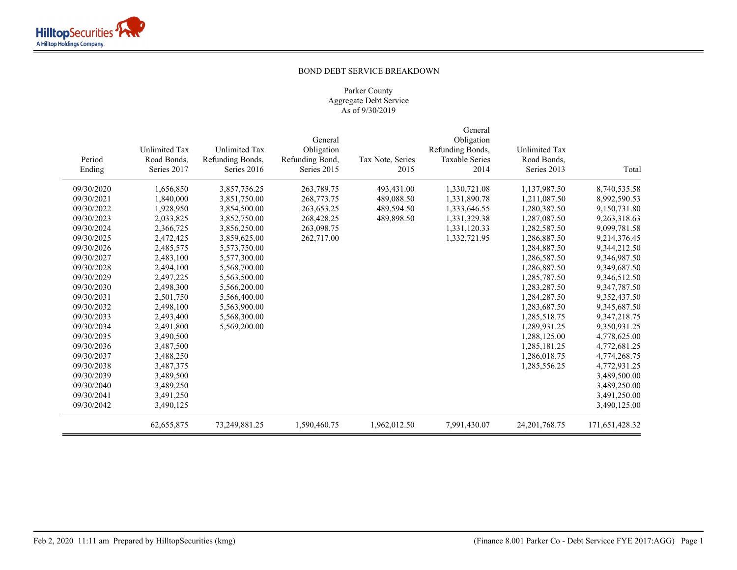# BOND DEBT SERVICE BREAKDOWN

|            |               |                      |                 |                  | General               |                  |                |
|------------|---------------|----------------------|-----------------|------------------|-----------------------|------------------|----------------|
|            |               |                      | General         |                  | Obligation            |                  |                |
|            | Unlimited Tax | <b>Unlimited Tax</b> | Obligation      |                  | Refunding Bonds,      | Unlimited Tax    |                |
| Period     | Road Bonds,   | Refunding Bonds,     | Refunding Bond, | Tax Note, Series | <b>Taxable Series</b> | Road Bonds,      |                |
| Ending     | Series 2017   | Series 2016          | Series 2015     | 2015             | 2014                  | Series 2013      | Total          |
| 09/30/2020 | 1,656,850     | 3,857,756.25         | 263,789.75      | 493,431.00       | 1,330,721.08          | 1,137,987.50     | 8,740,535.58   |
| 09/30/2021 | 1,840,000     | 3,851,750.00         | 268,773.75      | 489,088.50       | 1,331,890.78          | 1,211,087.50     | 8,992,590.53   |
| 09/30/2022 | 1,928,950     | 3,854,500.00         | 263, 653. 25    | 489,594.50       | 1,333,646.55          | 1,280,387.50     | 9,150,731.80   |
| 09/30/2023 | 2,033,825     | 3,852,750.00         | 268,428.25      | 489,898.50       | 1,331,329.38          | 1,287,087.50     | 9,263,318.63   |
| 09/30/2024 | 2,366,725     | 3,856,250.00         | 263,098.75      |                  | 1,331,120.33          | 1,282,587.50     | 9,099,781.58   |
| 09/30/2025 | 2,472,425     | 3,859,625.00         | 262,717.00      |                  | 1,332,721.95          | 1,286,887.50     | 9,214,376.45   |
| 09/30/2026 | 2,485,575     | 5,573,750.00         |                 |                  |                       | 1,284,887.50     | 9,344,212.50   |
| 09/30/2027 | 2,483,100     | 5,577,300.00         |                 |                  |                       | 1,286,587.50     | 9,346,987.50   |
| 09/30/2028 | 2,494,100     | 5,568,700.00         |                 |                  |                       | 1,286,887.50     | 9,349,687.50   |
| 09/30/2029 | 2,497,225     | 5,563,500.00         |                 |                  |                       | 1,285,787.50     | 9,346,512.50   |
| 09/30/2030 | 2,498,300     | 5,566,200.00         |                 |                  |                       | 1,283,287.50     | 9,347,787.50   |
| 09/30/2031 | 2,501,750     | 5,566,400.00         |                 |                  |                       | 1,284,287.50     | 9,352,437.50   |
| 09/30/2032 | 2,498,100     | 5,563,900.00         |                 |                  |                       | 1,283,687.50     | 9,345,687.50   |
| 09/30/2033 | 2,493,400     | 5,568,300.00         |                 |                  |                       | 1,285,518.75     | 9,347,218.75   |
| 09/30/2034 | 2,491,800     | 5,569,200.00         |                 |                  |                       | 1,289,931.25     | 9,350,931.25   |
| 09/30/2035 | 3,490,500     |                      |                 |                  |                       | 1,288,125.00     | 4,778,625.00   |
| 09/30/2036 | 3,487,500     |                      |                 |                  |                       | 1,285,181.25     | 4,772,681.25   |
| 09/30/2037 | 3,488,250     |                      |                 |                  |                       | 1,286,018.75     | 4,774,268.75   |
| 09/30/2038 | 3,487,375     |                      |                 |                  |                       | 1,285,556.25     | 4,772,931.25   |
| 09/30/2039 | 3,489,500     |                      |                 |                  |                       |                  | 3,489,500.00   |
| 09/30/2040 | 3,489,250     |                      |                 |                  |                       |                  | 3,489,250.00   |
| 09/30/2041 | 3,491,250     |                      |                 |                  |                       |                  | 3,491,250.00   |
| 09/30/2042 | 3,490,125     |                      |                 |                  |                       |                  | 3,490,125.00   |
|            | 62, 655, 875  | 73,249,881.25        | 1,590,460.75    | 1,962,012.50     | 7,991,430.07          | 24, 201, 768. 75 | 171,651,428.32 |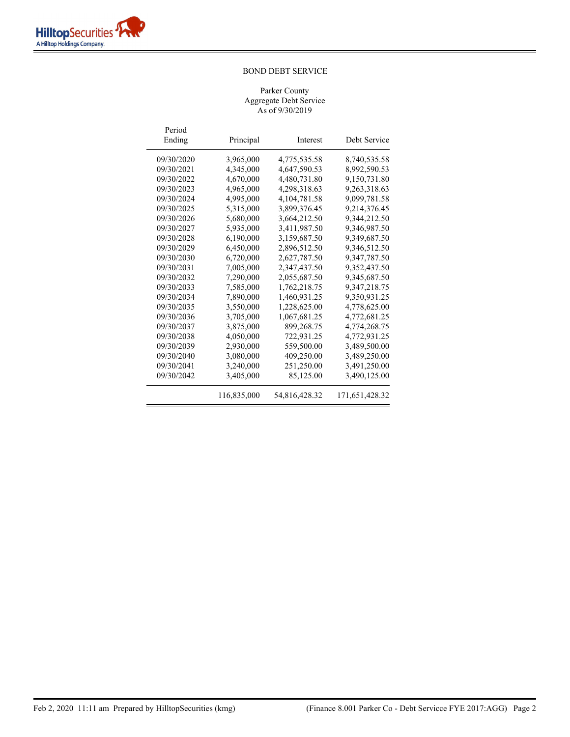| Period<br>Ending | Principal   | Interest        | Debt Service   |
|------------------|-------------|-----------------|----------------|
| 09/30/2020       | 3,965,000   | 4,775,535.58    | 8,740,535.58   |
| 09/30/2021       | 4,345,000   | 4,647,590.53    | 8,992,590.53   |
| 09/30/2022       | 4,670,000   | 4,480,731.80    | 9,150,731.80   |
| 09/30/2023       | 4,965,000   | 4,298,318.63    | 9,263,318.63   |
| 09/30/2024       | 4,995,000   | 4, 104, 781. 58 | 9,099,781.58   |
| 09/30/2025       | 5,315,000   | 3,899,376.45    | 9,214,376.45   |
| 09/30/2026       | 5,680,000   | 3,664,212.50    | 9,344,212.50   |
| 09/30/2027       | 5,935,000   | 3,411,987.50    | 9,346,987.50   |
| 09/30/2028       | 6,190,000   | 3,159,687.50    | 9,349,687.50   |
| 09/30/2029       | 6,450,000   | 2,896,512.50    | 9,346,512.50   |
| 09/30/2030       | 6,720,000   | 2,627,787.50    | 9,347,787.50   |
| 09/30/2031       | 7,005,000   | 2,347,437.50    | 9,352,437.50   |
| 09/30/2032       | 7,290,000   | 2,055,687.50    | 9,345,687.50   |
| 09/30/2033       | 7,585,000   | 1,762,218.75    | 9,347,218.75   |
| 09/30/2034       | 7.890,000   | 1,460,931.25    | 9,350,931.25   |
| 09/30/2035       | 3,550,000   | 1,228,625.00    | 4,778,625.00   |
| 09/30/2036       | 3,705,000   | 1,067,681.25    | 4,772,681.25   |
| 09/30/2037       | 3,875,000   | 899,268.75      | 4,774,268.75   |
| 09/30/2038       | 4,050,000   | 722,931.25      | 4,772,931.25   |
| 09/30/2039       | 2,930,000   | 559,500.00      | 3,489,500.00   |
| 09/30/2040       | 3,080,000   | 409,250.00      | 3,489,250.00   |
| 09/30/2041       | 3,240,000   | 251,250.00      | 3,491,250.00   |
| 09/30/2042       | 3,405,000   | 85,125.00       | 3,490,125.00   |
|                  | 116,835,000 | 54,816,428.32   | 171,651,428.32 |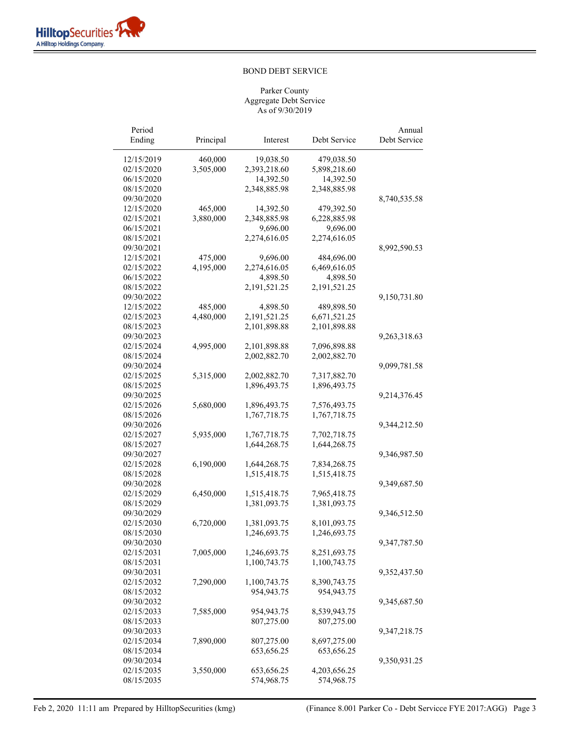| Period                   |           |              |                          | Annual       |
|--------------------------|-----------|--------------|--------------------------|--------------|
| Ending                   | Principal | Interest     | Debt Service             | Debt Service |
| 12/15/2019               | 460,000   | 19,038.50    | 479,038.50               |              |
| 02/15/2020               | 3,505,000 | 2,393,218.60 | 5,898,218.60             |              |
| 06/15/2020               |           | 14,392.50    | 14,392.50                |              |
| 08/15/2020               |           | 2,348,885.98 | 2,348,885.98             |              |
| 09/30/2020               |           |              |                          | 8,740,535.58 |
| 12/15/2020               | 465,000   | 14,392.50    | 479,392.50               |              |
| 02/15/2021               | 3,880,000 | 2,348,885.98 | 6,228,885.98             |              |
|                          |           | 9,696.00     |                          |              |
| 06/15/2021<br>08/15/2021 |           | 2,274,616.05 | 9,696.00<br>2,274,616.05 |              |
| 09/30/2021               |           |              |                          |              |
| 12/15/2021               |           | 9,696.00     | 484,696.00               | 8,992,590.53 |
|                          | 475,000   |              |                          |              |
| 02/15/2022               | 4,195,000 | 2,274,616.05 | 6,469,616.05             |              |
| 06/15/2022               |           | 4,898.50     | 4,898.50                 |              |
| 08/15/2022               |           | 2,191,521.25 | 2,191,521.25             |              |
| 09/30/2022               |           |              |                          | 9,150,731.80 |
| 12/15/2022               | 485,000   | 4,898.50     | 489,898.50               |              |
| 02/15/2023               | 4,480,000 | 2,191,521.25 | 6,671,521.25             |              |
| 08/15/2023               |           | 2,101,898.88 | 2,101,898.88             |              |
| 09/30/2023               |           |              |                          | 9,263,318.63 |
| 02/15/2024               | 4,995,000 | 2,101,898.88 | 7,096,898.88             |              |
| 08/15/2024               |           | 2,002,882.70 | 2,002,882.70             |              |
| 09/30/2024               |           |              |                          | 9,099,781.58 |
| 02/15/2025               | 5,315,000 | 2,002,882.70 | 7,317,882.70             |              |
| 08/15/2025               |           | 1,896,493.75 | 1,896,493.75             |              |
| 09/30/2025               |           |              |                          | 9,214,376.45 |
| 02/15/2026               | 5,680,000 | 1,896,493.75 | 7,576,493.75             |              |
| 08/15/2026               |           | 1,767,718.75 | 1,767,718.75             |              |
| 09/30/2026               |           |              |                          | 9,344,212.50 |
| 02/15/2027               | 5,935,000 | 1,767,718.75 | 7,702,718.75             |              |
| 08/15/2027               |           | 1,644,268.75 | 1,644,268.75             |              |
| 09/30/2027               |           |              |                          | 9,346,987.50 |
| 02/15/2028               | 6,190,000 | 1,644,268.75 | 7,834,268.75             |              |
| 08/15/2028               |           | 1,515,418.75 | 1,515,418.75             |              |
| 09/30/2028               |           |              |                          | 9,349,687.50 |
| 02/15/2029               | 6,450,000 | 1,515,418.75 | 7,965,418.75             |              |
| 08/15/2029               |           | 1,381,093.75 | 1,381,093.75             |              |
| 09/30/2029               |           |              |                          | 9,346,512.50 |
| 02/15/2030               | 6,720,000 | 1,381,093.75 | 8,101,093.75             |              |
| 08/15/2030               |           | 1,246,693.75 | 1,246,693.75             |              |
| 09/30/2030               |           |              |                          | 9,347,787.50 |
| 02/15/2031               | 7,005,000 | 1,246,693.75 | 8,251,693.75             |              |
| 08/15/2031               |           | 1,100,743.75 | 1,100,743.75             |              |
| 09/30/2031               |           |              |                          | 9,352,437.50 |
| 02/15/2032               | 7,290,000 | 1,100,743.75 | 8,390,743.75             |              |
| 08/15/2032               |           | 954,943.75   | 954,943.75               |              |
| 09/30/2032               |           |              |                          | 9,345,687.50 |
| 02/15/2033               | 7,585,000 | 954,943.75   | 8,539,943.75             |              |
| 08/15/2033               |           | 807,275.00   | 807,275.00               |              |
| 09/30/2033               |           |              |                          | 9,347,218.75 |
| 02/15/2034               | 7,890,000 | 807,275.00   | 8,697,275.00             |              |
| 08/15/2034               |           | 653,656.25   | 653, 656.25              |              |
| 09/30/2034               |           |              |                          | 9,350,931.25 |
| 02/15/2035               | 3,550,000 | 653, 656.25  | 4,203,656.25             |              |
| 08/15/2035               |           | 574,968.75   | 574,968.75               |              |
|                          |           |              |                          |              |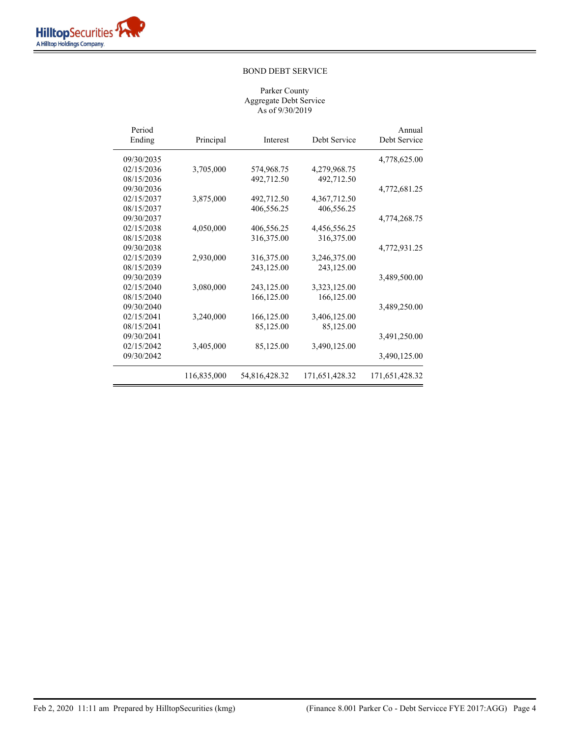| Period<br>Ending | Principal   | Interest      | Debt Service   | Annual<br>Debt Service |
|------------------|-------------|---------------|----------------|------------------------|
| 09/30/2035       |             |               |                | 4,778,625.00           |
| 02/15/2036       | 3,705,000   | 574,968.75    | 4,279,968.75   |                        |
| 08/15/2036       |             | 492,712.50    | 492,712.50     |                        |
| 09/30/2036       |             |               |                | 4,772,681.25           |
| 02/15/2037       | 3,875,000   | 492,712.50    | 4,367,712.50   |                        |
| 08/15/2037       |             | 406,556.25    | 406,556.25     |                        |
| 09/30/2037       |             |               |                | 4,774,268.75           |
| 02/15/2038       | 4,050,000   | 406,556.25    | 4,456,556.25   |                        |
| 08/15/2038       |             | 316,375.00    | 316,375.00     |                        |
| 09/30/2038       |             |               |                | 4,772,931.25           |
| 02/15/2039       | 2,930,000   | 316,375.00    | 3,246,375.00   |                        |
| 08/15/2039       |             | 243,125.00    | 243,125.00     |                        |
| 09/30/2039       |             |               |                | 3,489,500.00           |
| 02/15/2040       | 3,080,000   | 243,125.00    | 3,323,125.00   |                        |
| 08/15/2040       |             | 166,125.00    | 166,125.00     |                        |
| 09/30/2040       |             |               |                | 3,489,250.00           |
| 02/15/2041       | 3,240,000   | 166,125.00    | 3,406,125.00   |                        |
| 08/15/2041       |             | 85,125.00     | 85,125.00      |                        |
| 09/30/2041       |             |               |                | 3,491,250.00           |
| 02/15/2042       | 3,405,000   | 85,125.00     | 3,490,125.00   |                        |
| 09/30/2042       |             |               |                | 3,490,125.00           |
|                  | 116,835,000 | 54,816,428.32 | 171,651,428.32 | 171,651,428.32         |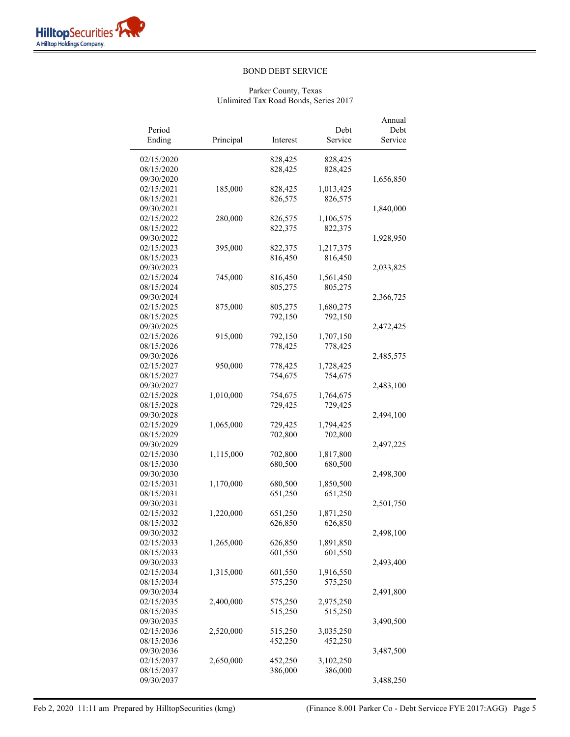| Period<br>Ending         | Principal | Interest           | Debt<br>Service | Annual<br>Debt<br>Service |
|--------------------------|-----------|--------------------|-----------------|---------------------------|
|                          |           |                    |                 |                           |
| 02/15/2020<br>08/15/2020 |           | 828,425<br>828,425 | 828,425         |                           |
|                          |           |                    | 828,425         |                           |
| 09/30/2020<br>02/15/2021 | 185,000   | 828,425            | 1,013,425       | 1,656,850                 |
| 08/15/2021               |           | 826,575            | 826,575         |                           |
| 09/30/2021               |           |                    |                 | 1,840,000                 |
| 02/15/2022               | 280,000   | 826,575            | 1,106,575       |                           |
| 08/15/2022               |           | 822,375            | 822,375         |                           |
| 09/30/2022               |           |                    |                 | 1,928,950                 |
| 02/15/2023               | 395,000   | 822,375            | 1,217,375       |                           |
| 08/15/2023               |           | 816,450            | 816,450         |                           |
| 09/30/2023               |           |                    |                 | 2,033,825                 |
| 02/15/2024               | 745,000   | 816,450            | 1,561,450       |                           |
| 08/15/2024               |           | 805,275            | 805,275         |                           |
| 09/30/2024               |           |                    |                 | 2,366,725                 |
| 02/15/2025               | 875,000   | 805,275            | 1,680,275       |                           |
| 08/15/2025               |           | 792,150            | 792,150         |                           |
| 09/30/2025               |           |                    |                 | 2,472,425                 |
| 02/15/2026               | 915,000   | 792,150            | 1,707,150       |                           |
| 08/15/2026               |           | 778,425            | 778,425         |                           |
| 09/30/2026               |           |                    |                 | 2,485,575                 |
| 02/15/2027               | 950,000   | 778,425            | 1,728,425       |                           |
| 08/15/2027               |           | 754,675            | 754,675         |                           |
| 09/30/2027               |           |                    |                 | 2,483,100                 |
| 02/15/2028               | 1,010,000 | 754,675            | 1,764,675       |                           |
| 08/15/2028               |           | 729,425            | 729,425         |                           |
| 09/30/2028               |           |                    |                 | 2,494,100                 |
| 02/15/2029               | 1,065,000 | 729,425            | 1,794,425       |                           |
| 08/15/2029               |           | 702,800            | 702,800         |                           |
| 09/30/2029               |           |                    |                 | 2,497,225                 |
| 02/15/2030               | 1,115,000 | 702,800            | 1,817,800       |                           |
| 08/15/2030               |           | 680,500            | 680,500         |                           |
| 09/30/2030               |           |                    |                 | 2,498,300                 |
| 02/15/2031               | 1,170,000 | 680,500            | 1,850,500       |                           |
| 08/15/2031               |           | 651,250            | 651,250         |                           |
| 09/30/2031               |           |                    |                 | 2,501,750                 |
| 02/15/2032<br>08/15/2032 | 1,220,000 | 651,250            | 1,871,250       |                           |
| 09/30/2032               |           | 626,850            | 626,850         |                           |
| 02/15/2033               | 1,265,000 | 626,850            | 1,891,850       | 2,498,100                 |
| 08/15/2033               |           | 601,550            | 601,550         |                           |
| 09/30/2033               |           |                    |                 | 2,493,400                 |
| 02/15/2034               | 1,315,000 | 601,550            | 1,916,550       |                           |
| 08/15/2034               |           | 575,250            | 575,250         |                           |
| 09/30/2034               |           |                    |                 | 2,491,800                 |
| 02/15/2035               | 2,400,000 | 575,250            | 2,975,250       |                           |
| 08/15/2035               |           | 515,250            | 515,250         |                           |
| 09/30/2035               |           |                    |                 | 3,490,500                 |
| 02/15/2036               | 2,520,000 | 515,250            | 3,035,250       |                           |
| 08/15/2036               |           | 452,250            | 452,250         |                           |
| 09/30/2036               |           |                    |                 | 3,487,500                 |
| 02/15/2037               | 2,650,000 | 452,250            | 3,102,250       |                           |
| 08/15/2037               |           | 386,000            | 386,000         |                           |
| 09/30/2037               |           |                    |                 | 3,488,250                 |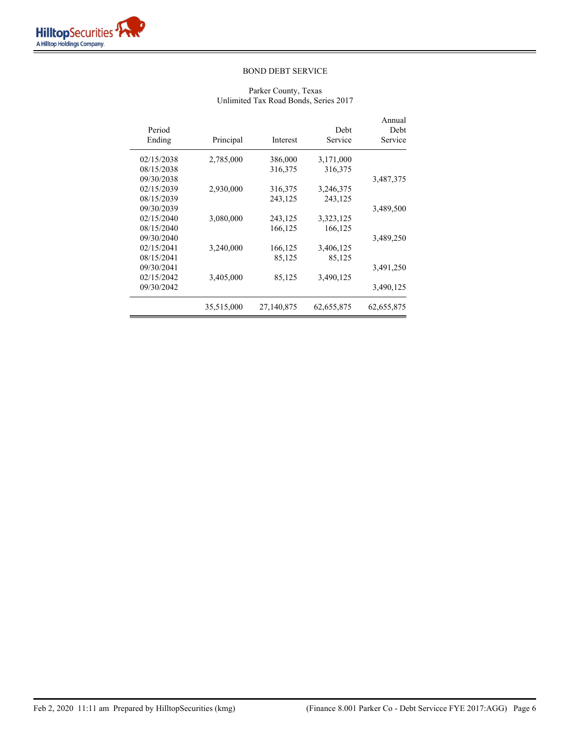| Annual<br>Debt<br>Service | Debt<br>Service | Interest   | Principal  | Period<br>Ending |
|---------------------------|-----------------|------------|------------|------------------|
|                           | 3,171,000       | 386,000    | 2,785,000  | 02/15/2038       |
|                           | 316,375         | 316,375    |            | 08/15/2038       |
| 3,487,375                 |                 |            |            | 09/30/2038       |
|                           | 3,246,375       | 316,375    | 2,930,000  | 02/15/2039       |
|                           | 243,125         | 243,125    |            | 08/15/2039       |
| 3,489,500                 |                 |            |            | 09/30/2039       |
|                           | 3,323,125       | 243,125    | 3,080,000  | 02/15/2040       |
|                           | 166,125         | 166,125    |            | 08/15/2040       |
| 3,489,250                 |                 |            |            | 09/30/2040       |
|                           | 3,406,125       | 166,125    | 3,240,000  | 02/15/2041       |
|                           | 85,125          | 85,125     |            | 08/15/2041       |
| 3,491,250                 |                 |            |            | 09/30/2041       |
|                           | 3,490,125       | 85,125     | 3,405,000  | 02/15/2042       |
| 3,490,125                 |                 |            |            | 09/30/2042       |
| 62,655,875                | 62,655,875      | 27,140,875 | 35,515,000 |                  |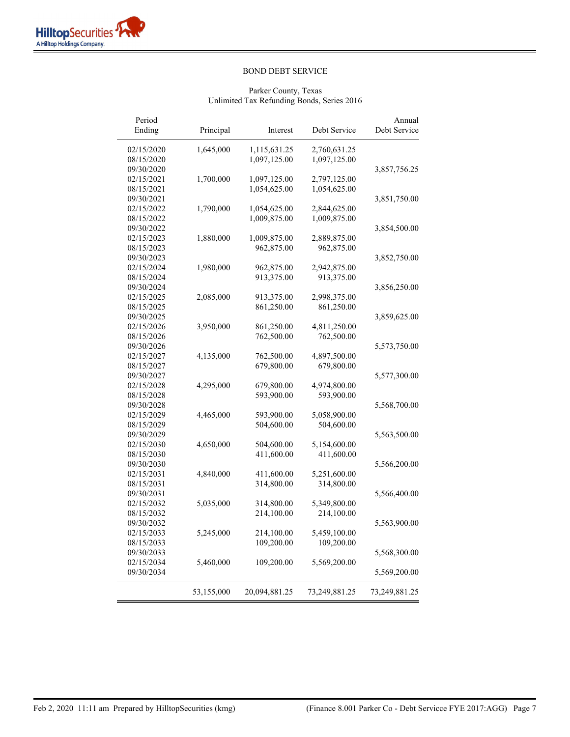| Period<br>Ending | Principal  | Interest                 | Debt Service               | Annual<br>Debt Service |
|------------------|------------|--------------------------|----------------------------|------------------------|
| 02/15/2020       | 1,645,000  | 1,115,631.25             | 2,760,631.25               |                        |
| 08/15/2020       |            | 1,097,125.00             | 1,097,125.00               |                        |
| 09/30/2020       |            |                          |                            | 3,857,756.25           |
| 02/15/2021       | 1,700,000  | 1,097,125.00             | 2,797,125.00               |                        |
| 08/15/2021       |            | 1,054,625.00             | 1,054,625.00               |                        |
| 09/30/2021       |            |                          |                            | 3,851,750.00           |
| 02/15/2022       | 1,790,000  | 1,054,625.00             | 2,844,625.00               |                        |
| 08/15/2022       |            | 1,009,875.00             | 1,009,875.00               |                        |
| 09/30/2022       |            |                          |                            | 3,854,500.00           |
| 02/15/2023       | 1,880,000  | 1,009,875.00             | 2,889,875.00               |                        |
| 08/15/2023       |            | 962,875.00               | 962,875.00                 |                        |
| 09/30/2023       |            |                          |                            | 3,852,750.00           |
| 02/15/2024       | 1,980,000  | 962,875.00               | 2,942,875.00               |                        |
| 08/15/2024       |            | 913,375.00               | 913,375.00                 |                        |
| 09/30/2024       |            |                          |                            | 3,856,250.00           |
| 02/15/2025       | 2,085,000  | 913,375.00               | 2,998,375.00               |                        |
| 08/15/2025       |            | 861,250.00               | 861,250.00                 |                        |
| 09/30/2025       |            |                          |                            | 3,859,625.00           |
| 02/15/2026       | 3,950,000  | 861,250.00               | 4,811,250.00               |                        |
| 08/15/2026       |            | 762,500.00               | 762,500.00                 |                        |
| 09/30/2026       |            |                          |                            | 5,573,750.00           |
| 02/15/2027       | 4,135,000  | 762,500.00               | 4,897,500.00               |                        |
| 08/15/2027       |            | 679,800.00               | 679,800.00                 |                        |
| 09/30/2027       |            |                          |                            | 5,577,300.00           |
| 02/15/2028       | 4,295,000  | 679,800.00               | 4,974,800.00               |                        |
| 08/15/2028       |            | 593,900.00               | 593,900.00                 |                        |
| 09/30/2028       |            |                          |                            | 5,568,700.00           |
| 02/15/2029       | 4,465,000  | 593,900.00               | 5,058,900.00               |                        |
| 08/15/2029       |            | 504,600.00               | 504,600.00                 |                        |
| 09/30/2029       |            |                          |                            | 5,563,500.00           |
| 02/15/2030       | 4,650,000  | 504,600.00               | 5,154,600.00               |                        |
| 08/15/2030       |            | 411,600.00               | 411,600.00                 |                        |
| 09/30/2030       |            |                          |                            |                        |
| 02/15/2031       | 4,840,000  |                          |                            | 5,566,200.00           |
| 08/15/2031       |            | 411,600.00<br>314,800.00 | 5,251,600.00<br>314,800.00 |                        |
| 09/30/2031       |            |                          |                            |                        |
| 02/15/2032       | 5,035,000  | 314,800.00               |                            | 5,566,400.00           |
| 08/15/2032       |            | 214,100.00               | 5,349,800.00<br>214,100.00 |                        |
| 09/30/2032       |            |                          |                            |                        |
|                  |            |                          |                            | 5,563,900.00           |
| 02/15/2033       | 5,245,000  | 214,100.00               | 5,459,100.00               |                        |
| 08/15/2033       |            | 109,200.00               | 109,200.00                 |                        |
| 09/30/2033       |            |                          |                            | 5,568,300.00           |
| 02/15/2034       | 5,460,000  | 109,200.00               | 5,569,200.00               |                        |
| 09/30/2034       |            |                          |                            | 5,569,200.00           |
|                  | 53,155,000 | 20,094,881.25            | 73,249,881.25              | 73,249,881.25          |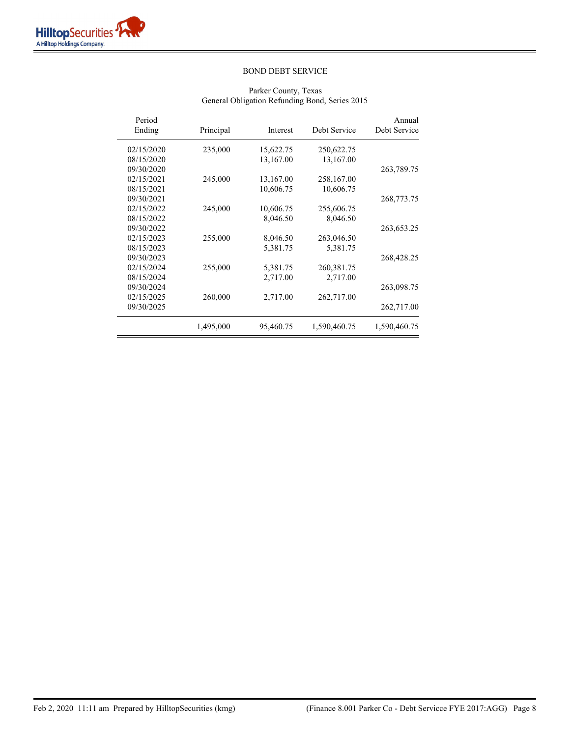| Period<br>Ending | Principal | Interest  | Debt Service | Annual<br>Debt Service |
|------------------|-----------|-----------|--------------|------------------------|
| 02/15/2020       | 235,000   | 15,622.75 | 250,622.75   |                        |
| 08/15/2020       |           | 13,167.00 | 13,167.00    |                        |
| 09/30/2020       |           |           |              | 263,789.75             |
| 02/15/2021       | 245,000   | 13,167.00 | 258,167.00   |                        |
| 08/15/2021       |           | 10,606.75 | 10,606.75    |                        |
| 09/30/2021       |           |           |              | 268,773.75             |
| 02/15/2022       | 245,000   | 10,606.75 | 255,606.75   |                        |
| 08/15/2022       |           | 8,046.50  | 8,046.50     |                        |
| 09/30/2022       |           |           |              | 263,653.25             |
| 02/15/2023       | 255,000   | 8,046.50  | 263,046.50   |                        |
| 08/15/2023       |           | 5,381.75  | 5,381.75     |                        |
| 09/30/2023       |           |           |              | 268,428.25             |
| 02/15/2024       | 255,000   | 5,381.75  | 260,381.75   |                        |
| 08/15/2024       |           | 2,717.00  | 2,717.00     |                        |
| 09/30/2024       |           |           |              | 263,098.75             |
| 02/15/2025       | 260,000   | 2,717.00  | 262,717.00   |                        |
| 09/30/2025       |           |           |              | 262,717.00             |
|                  | 1,495,000 | 95,460.75 | 1,590,460.75 | 1,590,460.75           |

# Parker County, Texas General Obligation Refunding Bond, Series 2015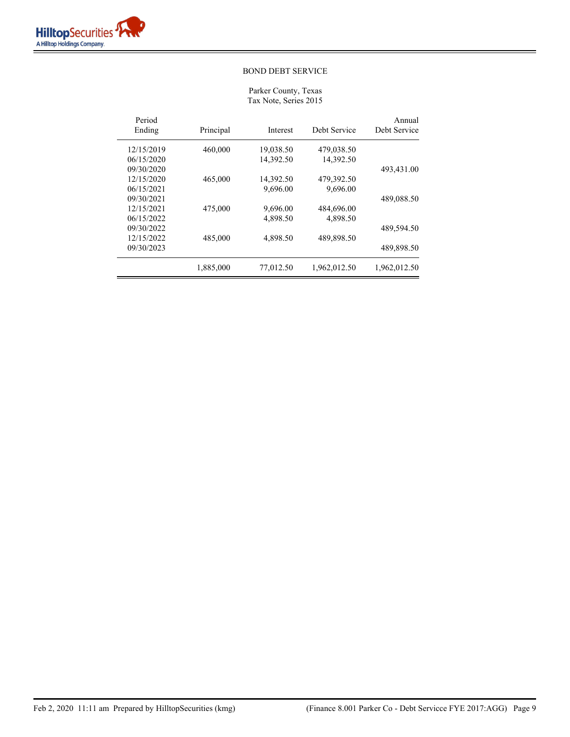Parker County, Texas Tax Note, Series 2015

| Period<br>Ending | Principal | Interest  | Debt Service | Annual<br>Debt Service |
|------------------|-----------|-----------|--------------|------------------------|
| 12/15/2019       | 460,000   | 19,038.50 | 479,038.50   |                        |
| 06/15/2020       |           | 14,392.50 | 14,392.50    |                        |
| 09/30/2020       |           |           |              | 493,431.00             |
| 12/15/2020       | 465,000   | 14,392.50 | 479,392.50   |                        |
| 06/15/2021       |           | 9,696.00  | 9,696.00     |                        |
| 09/30/2021       |           |           |              | 489,088.50             |
| 12/15/2021       | 475,000   | 9,696.00  | 484,696.00   |                        |
| 06/15/2022       |           | 4.898.50  | 4,898.50     |                        |
| 09/30/2022       |           |           |              | 489,594.50             |
| 12/15/2022       | 485,000   | 4,898.50  | 489,898.50   |                        |
| 09/30/2023       |           |           |              | 489,898.50             |
|                  | 1,885,000 | 77,012.50 | 1,962,012.50 | 1,962,012.50           |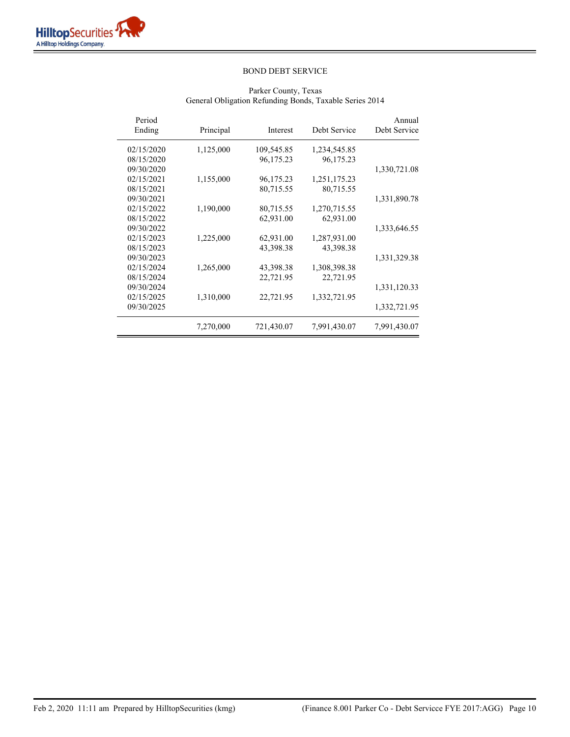| Period<br>Ending | Principal | Interest   | Debt Service | Annual<br>Debt Service |
|------------------|-----------|------------|--------------|------------------------|
| 02/15/2020       | 1,125,000 | 109,545.85 | 1,234,545.85 |                        |
| 08/15/2020       |           | 96,175.23  | 96,175.23    |                        |
| 09/30/2020       |           |            |              | 1,330,721.08           |
| 02/15/2021       | 1,155,000 | 96,175.23  | 1,251,175.23 |                        |
| 08/15/2021       |           | 80,715.55  | 80,715.55    |                        |
| 09/30/2021       |           |            |              | 1,331,890.78           |
| 02/15/2022       | 1,190,000 | 80,715.55  | 1,270,715.55 |                        |
| 08/15/2022       |           | 62,931.00  | 62,931.00    |                        |
| 09/30/2022       |           |            |              | 1,333,646.55           |
| 02/15/2023       | 1,225,000 | 62,931.00  | 1,287,931.00 |                        |
| 08/15/2023       |           | 43,398.38  | 43,398.38    |                        |
| 09/30/2023       |           |            |              | 1,331,329.38           |
| 02/15/2024       | 1,265,000 | 43,398.38  | 1,308,398.38 |                        |
| 08/15/2024       |           | 22,721.95  | 22,721.95    |                        |
| 09/30/2024       |           |            |              | 1,331,120.33           |
| 02/15/2025       | 1,310,000 | 22,721.95  | 1,332,721.95 |                        |
| 09/30/2025       |           |            |              | 1,332,721.95           |
|                  | 7,270,000 | 721,430.07 | 7,991,430.07 | 7,991,430.07           |

# Parker County, Texas General Obligation Refunding Bonds, Taxable Series 2014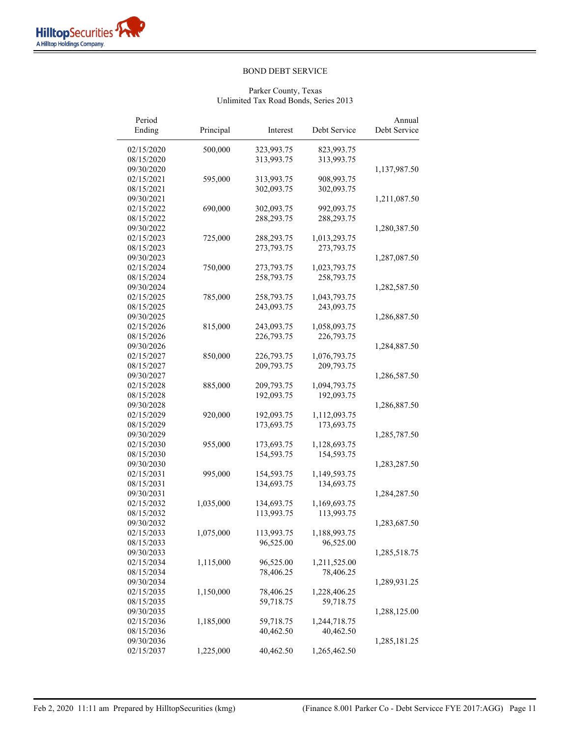$\overline{a}$ 

# BOND DEBT SERVICE

| Period<br>Ending | Principal | Interest   | Debt Service | Annual<br>Debt Service |
|------------------|-----------|------------|--------------|------------------------|
| 02/15/2020       | 500,000   | 323,993.75 | 823,993.75   |                        |
| 08/15/2020       |           | 313,993.75 | 313,993.75   |                        |
| 09/30/2020       |           |            |              | 1,137,987.50           |
| 02/15/2021       | 595,000   | 313,993.75 | 908,993.75   |                        |
| 08/15/2021       |           | 302,093.75 | 302,093.75   |                        |
| 09/30/2021       |           |            |              | 1,211,087.50           |
| 02/15/2022       | 690,000   | 302,093.75 | 992,093.75   |                        |
| 08/15/2022       |           | 288,293.75 | 288,293.75   |                        |
| 09/30/2022       |           |            |              | 1,280,387.50           |
| 02/15/2023       | 725,000   | 288,293.75 | 1,013,293.75 |                        |
| 08/15/2023       |           | 273,793.75 | 273,793.75   |                        |
| 09/30/2023       |           |            |              | 1,287,087.50           |
| 02/15/2024       | 750,000   | 273,793.75 | 1,023,793.75 |                        |
| 08/15/2024       |           | 258,793.75 | 258,793.75   |                        |
| 09/30/2024       |           |            |              | 1,282,587.50           |
| 02/15/2025       | 785,000   | 258,793.75 | 1,043,793.75 |                        |
| 08/15/2025       |           | 243,093.75 | 243,093.75   |                        |
| 09/30/2025       |           |            |              | 1,286,887.50           |
| 02/15/2026       | 815,000   | 243,093.75 | 1,058,093.75 |                        |
| 08/15/2026       |           | 226,793.75 | 226,793.75   |                        |
| 09/30/2026       |           |            |              | 1,284,887.50           |
| 02/15/2027       | 850,000   | 226,793.75 | 1,076,793.75 |                        |
| 08/15/2027       |           | 209,793.75 | 209,793.75   |                        |
| 09/30/2027       |           |            |              | 1,286,587.50           |
| 02/15/2028       | 885,000   | 209,793.75 | 1,094,793.75 |                        |
| 08/15/2028       |           | 192,093.75 | 192,093.75   |                        |
| 09/30/2028       |           |            |              | 1,286,887.50           |
| 02/15/2029       | 920,000   | 192,093.75 | 1,112,093.75 |                        |
| 08/15/2029       |           | 173,693.75 | 173,693.75   |                        |
| 09/30/2029       |           |            |              | 1,285,787.50           |
| 02/15/2030       | 955,000   | 173,693.75 | 1,128,693.75 |                        |
| 08/15/2030       |           | 154,593.75 | 154,593.75   |                        |
| 09/30/2030       |           |            |              | 1,283,287.50           |
| 02/15/2031       | 995,000   | 154,593.75 | 1,149,593.75 |                        |
| 08/15/2031       |           | 134,693.75 | 134,693.75   |                        |
| 09/30/2031       |           |            |              | 1,284,287.50           |
| 02/15/2032       | 1,035,000 | 134,693.75 | 1,169,693.75 |                        |
| 08/15/2032       |           | 113,993.75 | 113,993.75   |                        |
| 09/30/2032       |           |            |              | 1,283,687.50           |
| 02/15/2033       | 1,075,000 | 113,993.75 | 1,188,993.75 |                        |
| 08/15/2033       |           | 96,525.00  | 96,525.00    |                        |
| 09/30/2033       |           |            |              | 1,285,518.75           |
| 02/15/2034       | 1,115,000 | 96,525.00  | 1,211,525.00 |                        |
| 08/15/2034       |           | 78,406.25  | 78,406.25    |                        |
| 09/30/2034       |           |            |              | 1,289,931.25           |
| 02/15/2035       | 1,150,000 | 78,406.25  | 1,228,406.25 |                        |
| 08/15/2035       |           | 59,718.75  | 59,718.75    |                        |
| 09/30/2035       |           |            |              | 1,288,125.00           |
| 02/15/2036       | 1,185,000 | 59,718.75  | 1,244,718.75 |                        |
| 08/15/2036       |           | 40,462.50  | 40,462.50    |                        |
| 09/30/2036       |           |            |              | 1,285,181.25           |
| 02/15/2037       | 1,225,000 | 40,462.50  | 1,265,462.50 |                        |
|                  |           |            |              |                        |